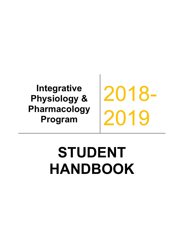## **Integrative Physiology & Pharmacology Program**

2018- 2019

# **STUDENT HANDBOOK**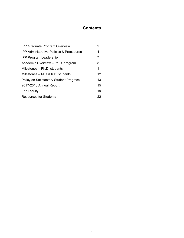#### **Contents**

| <b>IPP Graduate Program Overview</b>                | 2               |
|-----------------------------------------------------|-----------------|
| <b>IPP Administrative Policies &amp; Procedures</b> | 4               |
| <b>IPP Program Leadership</b>                       | 7               |
| Academic Overview - Ph.D. program                   | 8               |
| Milestones - Ph.D. students                         | 11              |
| Milestones – M.D./Ph.D. students                    | 12 <sup>2</sup> |
| <b>Policy on Satisfactory Student Progress</b>      | 13              |
| 2017-2018 Annual Report                             | 15              |
| <b>IPP Faculty</b>                                  | 19              |
| <b>Resources for Students</b>                       | 22              |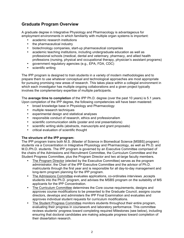#### **Graduate Program Overview**

A graduate degree in Integrative Physiology and Pharmacology is advantageous for employment environments in which familiarity with multiple organ systems is important:

- academic research institutions
- the pharmaceutical industry
- biotechnology companies, start-up pharmaceutical companies
- academic teaching institutions, including undergraduate education as well as professional schools (medical, dental and veterinary, pharmacy, and allied health professions (nursing, physical and occupational therapy, physician's assistant programs)
- government regulatory agencies (e.g., EPA, FDA, CDC)
- scientific writing

The IPP program is designed to train students in a variety of modern methodologies and to prepare them to use whatever conceptual and technological approaches are most appropriate for pursuing promising new areas of research. This takes place within a collegial environment in which each investigator has multiple ongoing collaborations and a given project typically involves the complementary expertise of multiple participants.

The **average time to completion** of the IPP Ph.D. degree (over the past 10 years) is 5.1 years. Upon completion of the IPP degree, the following competencies will have been mastered:

- broad knowledge base in Physiology and Pharmacology
- multiple research techniques
- experimental design and statistical analyses
- responsible conduct of research, ethics and professionalism
- scientific communication skills (poster and oral presentations)
- scientific writing skills (abstracts, manuscripts and grant proposals)
- critical evaluation of scientific thought

#### **The structure of the IPP program:**

The IPP program trains both M.S. (Master of Science in Biomedical Science [MSBS] program) students via a Concentration in Integrative Physiology and Pharmacology, as well as Ph.D. and M.D./Ph.D. students. The IPP program is governed by an Executive Committee comprised of the chairs of the Admissions and Recruitment Committee, the Curriculum Committee and the Student Progress Committee, plus the Program Director and two at-large faculty members.

- The Program Director (elected by the Executive Committee) serves as the program administrator, the Chair of the IPP Executive Committee and the advisor of Ph.D. matriculants through the first year and is responsible for all day-to-day management and long-term program planning for the IPP program.
- The Admissions Committee evaluates applications, co-ordinates interviews ,accepts students into the Ph.D. program, and advises the MSBS program on the suitability of MS applicants for the IPP Concentration.
- The Curriculum Committee determines the Core course requirements, designs and approves course modifications to be presented to the Graduate Council, assigns course directors, develops and administers the IPP Final Examination and evaluates and approves individual student requests for curriculum modifications.
- The Student Progress Committee monitors students throughout their entire program, evaluating their progress in coursework and laboratory performance. This committee reviews students' progress toward completing required Milestones (see below), including ensuring that doctoral candidates are making adequate progress toward completion of their dissertation research.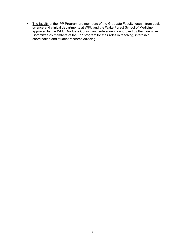• The faculty of the IPP Program are members of the Graduate Faculty, drawn from basic science and clinical departments at WFU and the Wake Forest School of Medicine, approved by the WFU Graduate Council and subsequently approved by the Executive Committee as members of the IPP program for their roles in teaching, internship coordination and student research advising.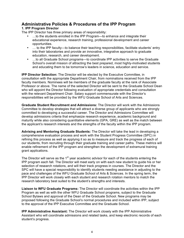#### **Administrative Policies & Procedures of the IPP Program**

#### **1. IPP Program Director**

The IPP Director has three primary areas of responsibility:

- ...to the students enrolled in the IPP Program—to enhance and integrate their educational experience, research training, professional development and career opportunities.
- ... to the IPP faculty—to balance their teaching responsibilities, facilitate students' entry into their laboratories and provide an innovative, integrative approach to graduate education, research, and career development.
- ...to all Graduate School programs—to coordinate IPP activities to serve the Graduate School's overall mission of attracting the best prepared, most highly-motivated students and educating them to be tomorrow's leaders in science, education and service.

**IPP Director Selection:** The Director will be elected by the Executive Committee, in consultation with the appropriate Department Chair, from nominations received from the IPP faculty members. Nominees will be members of the graduate faculty at the rank of Associate Professor or above. The name of the selected Director will be sent to the Graduate School Dean who will appoint the Director following evaluation of appropriate credentials and consultation with the relevant Department Chair. Salary support commensurate with the Director's responsibilities will be provided by the WFU Graduate School of Arts and Sciences.

**Graduate Student Recruitment and Admissions:** The Director will work with the Admissions Committee to develop strategies that will attract a diverse group of applicants who are strongly committed to developing a successful career. The Director and Admissions Committee will develop admissions criteria that emphasize research experience, academic background and maturity while also considering quantitative elements (GPA, GRE) as well as the match between the applicant's research interests and the strengths of the faculty within the IPP program.

**Advising and Mentoring Graduate Students:** The Director will take the lead in developing a comprehensive evaluation process and work with the Student Progress Committee (SPC) in refining this process as well as applying it so as to measure and track the progress of each of our students, from recruiting through their graduate training and career paths. These metrics will enable refinement of the IPP program and strengthen the development of extramural training grant applications.

The Director will serve as the  $1<sup>st</sup>$  year academic advisor for each of the students entering the IPP program each fall. The Director will meet early on with each new student to guide his or her selection of research rotations, and will their track progress in courses. The Director and the SPC will have a special responsibility to identify students needing assistance in adjusting to the pace and challenges of the WFU Graduate School of Arts & Sciences. In the spring term, the IPP Director will work closely with each student and research rotation mentors to match the research laboratory best suited to the student's strengths and interests.

**Liaison to WFU Graduate Programs:** The Director will coordinate the activities within the IPP Program as well as with the other WFU Graduate School programs, subject to the Graduate School Bylaws and approval of the Dean of the Graduate School. New programs may be proposed following the Graduate School's normal procedures and included within IPP, subject to the approval of the IPP Executive Committee and the Graduate School.

**IPP Administrative Assistant:** The Director will work closely with the IPP Administrative Assistant who will coordinate admissions and related tasks, and keep electronic records of each student's progress.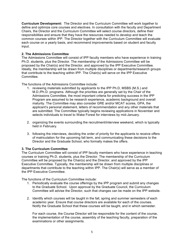**Curriculum Development:** The Director and the Curriculum Committee will work together to define and optimize core courses and electives. In consultation with the faculty and Department Chairs, the Director and the Curriculum Committee will select course directors, define their responsibilities and ensure that they have the resources needed to develop and teach the common courses within IPP. The Director together with the Curriculum Committee will evaluate each course on a yearly basis, and recommend improvements based on student and faculty input.

#### **2. The Admissions Committee**

The Admissions Committee will consist of IPP faculty members who have experience in training Ph.D. students, plus the Director. The membership of the Admissions Committee will be proposed by the Chair(s) and the Director, and approved by the IPP Executive Committee. Ideally, the membership will be drawn from multiple disciplines or departments/research groups that contribute to the teaching within IPP. The Chair(s) will serve on the IPP Executive Committee.

The functions of the Admissions Committee include:

- 1. reviewing materials submitted by applicants to the IPP Ph.D, MSBS (M.S.) and M.D./Ph.D. programs. Although the priorities are generally set by the Chair of the Admissions Committee, the most important criteria for predicting success in the IPP Program are assumed to be research experience, academic background and overall maturity. The Committee may also consider GRE and/or MCAT scores, GPA, the applicant's personal statement, letters of recommendation and any other materials that are submitted. The Committee typically begins reviewing applications in November and selects individuals to travel to Wake Forest for interviews by mid-January.
- 2. organizing the events surrounding the recruitment/interview weekend, which is typically held in February.
- 3. following the interviews, deciding the order of priority for the applicants to receive offers of matriculation for the upcoming fall term, and communicating these decisions to the Director and the Graduate School, who formally makes the offers.

#### **3. The Curriculum Committee**

The Curriculum Committee will consist of IPP faculty members who have experience in teaching courses or training Ph.D. students, plus the Director. The membership of the Curriculum Committee will be proposed by the Chair(s) and the Director, and approved by the IPP Executive Committee. Typically, the membership will be drawn from multiple disciplines or departments that contribute to the teaching within IPP. The Chair(s) will serve as a member of the IPP Executive Committee.

The functions of the Curriculum Committee include:

- 1. Periodically evaluate the course offerings by the IPP program and submit any changes to the Graduate School. Upon approval by the Graduate Council, the Curriculum Committee will advise the Director, such that changes can be made on the IPP website.
- 2. Identify which courses will be taught in the fall, spring and summer semesters of each academic year. Ensure that course directors are available for each of the courses. Notify the Graduate School that these courses will be taught, and in which semester.

For each course, the Course Director will be responsible for the content of the course, the implementation of the course, assembly of the teaching faculty, preparation of the examinations or other assignments.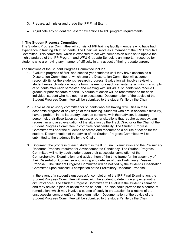- 3. Prepare, administer and grade the IPP Final Exam.
- 4. Adjudicate any student request for exceptions to IPP program requirements.

#### **4. The Student Progress Committee**

The Student Progress Committee will consist of IPP training faculty members who have had experience in training Ph.D. students. The Chair will serve as a member of the IPP Executive Committee. This committee, which is expected to act with compassion but also to uphold the high standards of the IPP Program and WFU Graduate School, is an important resource for students who are having any manner of difficulty in any aspect of their graduate career.

The functions of the Student Progress Committee include:

- 1. Evaluate progress of first- and second-year students until they have assembled a Dissertation Committee, at which time the Dissertation Committee will assume responsibility for the student's research progress. Evaluation will involve reviewing student research rotation reports from the mentors each semester, examining transcripts of students after each semester, and meeting with individual students who receive C grades or poor research reports. A course of action will be recommended for each individual student who has not met expectations. Documentation of the advice of the Student Progress Committee will be submitted to the student's file by the Chair.
- 2. Serve as an advisory committee for students who are having difficulties in their academic progress at any stage of their training. Students who are in academic difficulty, have a problem in the laboratory, such as concerns with their advisor, laboratory personnel, their dissertation committee, or other situations that require advocacy, can request an unbiased evaluation of the situation by the Track Director or the Chair of the Student Progress Committee in complete confidentiality. The Student Progress Committee will hear the student's concerns and recommend a course of action for the student. Documentation of the advice of the Student Progress Committee will be submitted to the student's file by the Chair.
- 3. Document the progress of each student in the IPP Final Examination and the Preliminary Research Proposal required for Advancement to Candidacy. The Student Progress Committee will notify each student upon their successful completion of the Comprehensive Examination, and advise them of the time-frame for the assembly of their Dissertation Committee and writing and defense of their Preliminary Research Proposal. The Student Progress Committee will be notified by the student's Dissertation Committee upon successful completion of the Preliminary Research Proposal.

In the event of a student's unsuccessful completion of the IPP Final Examination, the Student Progress Committee will meet with the student to determine any extenuating circumstances. The Student Progress Committee will evaluate the student's situation and may advise a plan of action for the student. The plan could provide for a course of remediation, which may involve a course of study in preparation for a retake of the unsuccessful component(s) of the examination. Documentation of the advice of the Student Progress Committee will be submitted to the student's file by the Chair.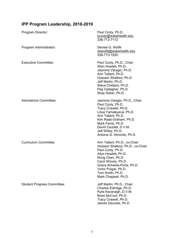### **IPP Program Leadership, 2018-2019**

| Program Director:                  | Paul Czoty, Ph.D.<br>pczoty@wakehealth.edu<br>336-713-7112                                                                                                                                                                                                  |
|------------------------------------|-------------------------------------------------------------------------------------------------------------------------------------------------------------------------------------------------------------------------------------------------------------|
| Program Administrator:             | Denise G. Wolfe<br>dewolfe@wakehealth.edu<br>336-713-1520                                                                                                                                                                                                   |
| <b>Executive Committee:</b>        | Paul Czoty, Ph.D., Chair<br>Allyn Howlett, Ph.D.<br>Jasmina Varagic, Ph.D.<br>Ann Tallant, Ph.D.<br>Hossam Shaltout, Ph.D.<br>Jeff Martin, Ph.D.<br>Steve Childers, Ph.D.<br>Peg Gallagher, Ph.D.<br>Shay Soker, Ph.D.                                      |
| <b>Admissions Committee:</b>       | Jasmina Varagic, Ph.D., Chair<br>Paul Czoty, Ph.D.<br>Tracy Criswell, Ph.D.<br>Liliya Yamaleyeva, Ph.D.<br>Ann Tallant, Ph.D.<br>Kim Raab-Graham, Ph.D.<br>Mark Ferris, Ph.D.<br>David Caudell, D.V.M.<br>Jeff Willey, Ph.D.<br>Antoine G. Almonte, Ph.D.   |
| <b>Curriculum Committee</b>        | Ann Tallant, Ph.D., co-Chair<br>Hossam Shaltout, Ph.D., co-Chair<br>Paul Czoty, Ph.D.<br>Allyn Howlett, Ph.D.<br>Rong Chen, Ph.D.<br>Carol Shively, Ph.D.<br>Graca Almeida-Porta, Ph.D.<br>Victor Pulgar, Ph.D.<br>Tom Smith, Ph.D.<br>Mark Chappell, Ph.D. |
| <b>Student Progress Committee:</b> | Jeff Martin, Ph.D., Chair<br>Charles Eldridge, Ph.D.<br>Kylie Kavanagh. D.V.M.<br>Brian McCool, Ph.D.<br>Tracy Criswell, Ph.D.<br>James Daunais, Ph.D.                                                                                                      |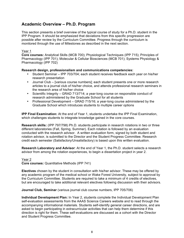#### **Academic Overview – Ph.D. Program**

This section presents a brief overview of the typical course of study for a Ph.D. student in the IPP Program. It should be emphasized that deviations from this specific progression are possible after review by the Curriculum Committee. Progress through the curriculum is monitored through the use of Milestones as described in the next section.

#### Year 1

**Core courses:** Analytical Skills (MCB 700); Physiological Techniques (IPP 715); Principles of Pharmacology (IPP 701); Molecular & Cellular Biosciences (MCB 701); Systems Physiology & Pharmacology (IPP 702)

#### **Research design, professionalism and communications competencies:**

- Student Seminar IPP 703/704; each student receives feedback each year on his/her research presentation
- Journal Club [various course numbers]; each student presents one or more research articles to a journal club of his/her choice, and attends professional research seminars in the research area of his/her choice
- Scientific Integrity GRAD 713/714; a year-long course on responsible conduct of research administered by the Graduate School for all students
- Professional Development GRAD 715/16; a year-long course administered by the Graduate School which introduces students to multiple career options

**IPP Final Examination:** At the end of Year 1, students undertake the IPP Final Examination, which challenges students to integrate knowledge gained in the core courses.

**Research skills:** (IPP 797/798) Ph.D. students participate in research rotations in two or three different laboratories (Fall, Spring, Summer). Each rotation is followed by an evaluation conducted with the research advisor. A written evaluation form, signed by both student and rotation advisor, is submitted to the Director and the Student Progress Committee. Research credit each semester (Satisfactory/Unsatisfactory) is based upon this written evaluation.

**Research Laboratory and Advisor**: At the end of Year 1, the Ph.D. student selects a research advisor from among the rotation experiences, to begin a dissertation project in year 2.

#### Year 2

**Core courses:** Quantitative Methods (IPP 741)

**Electives** chosen by the student in consultation with his/her advisor. These may be offered by any academic program of the medical school or Wake Forest University, subject to approval by the Curriculum Committee. Students are required to take a minimum of 4 credits of electives, but are encouraged to take additional relevant electives following discussion with their advisors.

**Journal Club, Seminar** (various journal club course numbers, IPP 705/706)

**Individual Development Plan:** In Year 2, students complete the Individual Development Plan self-evaluation assessments from the AAAS Science Careers website and to read through the accompanying informational materials. Students self-identify general career directions, and are asked to begin participating in extracurricular activities that can help them determine if this direction is right for them. These self-evaluations are discussed as a cohort with the Director and Student Progress Committee.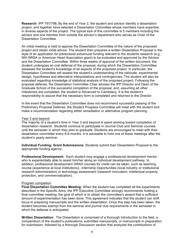**Research**: IPP 797/798; By the end of Year 2, the student and advisor identify a dissertation project, and together have selected a Dissertation Committee whose members have expertise in diverse aspects of the project. The typical size of this committee is 5 members including the advisor and one member from outside the advisor's department who serves as Chair of the Dissertation Committee.

An initial meeting is held to apprise the Dissertation Committee of the nature of the proposed project and obtain initial advice. The student then prepares a written Dissertation Proposal in the style of an application for predoctoral extramural funding relevant to the students research (e.g., NIH NRSA or American Heart Association grant) to be evaluated and approved by the Advisor and the Dissertation Committee. Within three weeks of approval of the written document, the student undergoes an oral defense of the proposal, during which the Dissertation Committee assesses the student's knowledge of all aspects of the proposed project. In particular, the Dissertation Committee will assess the student's understanding of the rationale, experimental design, hypotheses and alternative interpretations and contingencies. The student will also be evaluated regarding knowledge of statistical analysis of the proposed project. Following the proposal defense, the Dissertation Committee Chair advises the IPP Director and Dean of the Graduate School of the successful completion of the proposal, and, assuming all other milestones are completed, the student is Advanced to Candidacy. It is the student's responsibility to assure that the necessary form is completed and returned to the Director.

In the event that the Dissertation Committee does not recommend successful passing of the Preliminary Proposal Defense, the Student Progress Committee will meet with the student and make a recommendation regarding either remediation or alternative program planning.

#### Year 3 and beyond

The majority of a student's time in Year 3 and beyond is spent working toward completion of dissertation research. Students continue to participate in Journal Club and Seminar courses until the semester in which they plan to graduate. Students are encouraged to meet with their dissertation committee every 6-9 months. It is advisable to hold one of these meetings after the student's yearly seminar.

**Individual Funding; Grant Submissions:** Students submit their Dissertation Proposal to the appropriate funding agency.

**Professional Development:** Each student may engage a professional development mentor who is experientially able to assist him/her along an individual development pathway. In addition, professional development GRAD courses for credit can be taken, such as teaching course (experience at local institutions);, internship Opportunities (local industry or institutional research administration) or technology assessment (research innovation, intellectual property protection, and commercialization).

#### Program completion

**Final Dissertation Committee Meeting:** When the student has completed all the experiments described in the Specific Aims, the IPP Executive Committee strongly recommends holding a final committee meeting, the goal of which is to obtain the committee's assent that a sufficient amount of experimentation has been done. This agreement indicates that the student can shift focus to preparing manuscripts and the written dissertation. Once this step has been taken, the student becomes exempt from the seminar and journal club requirements in the semester in which the defense is anticipated.

**Written Dissertation:** The Dissertation is comprised of a thorough Introduction to the field, a compendium of the student's publications, submitted manuscripts, or manuscripts in preparation for submission, followed by a thorough Discussion section that analyzes the contributions of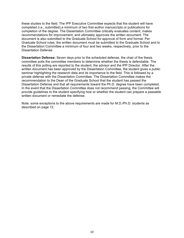these studies to the field. The IPP Executive Committee expects that the student will have completed (i.e., submitted) a minimum of two first-author manuscripts or publications for completion of the degree. The Dissertation Committee critically evaluates content, makes recommendations for improvement, and ultimately approves the written document. The document is also submitted to the Graduate School for approval of form and format. Per Graduate School rules, the written document must be submitted to the Graduate School and to the Dissertation Committee a minimum of four and two weeks, respectively, prior to the Dissertation Defense.

**Dissertation Defense:** Seven days prior to the scheduled defense, the chair of the thesis committee polls the committee members to determine whether the thesis is defendable. The results of this polling are reported to the student, the advisor and the IPP Director. After the written document has been approved by the Dissertation Committee, the student gives a public seminar highlighting the research data and its importance to the field. This is followed by a private defense with the Dissertation Committee. The Dissertation Committee makes the recommendation to the Dean of the Graduate School that the student has passed the Dissertation Defense and that all requirements toward the Ph.D. degree have been completed. In the event that the Dissertation Committee does not recommend passing, the Committee will provide guidelines to the student specifying how or whether the student can prepare a passable written document or remediate the defense.

Note: some exceptions to the above requirements are made for M.D./Ph.D. students as described on page 12.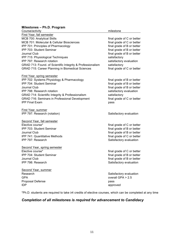#### **Milestones – Ph.D. Program**

| Course/activity                                            | milestone                  |
|------------------------------------------------------------|----------------------------|
| First Year, fall semester                                  |                            |
| MCB 700: Analytical Skills                                 | final grade of C or better |
| MCB 701: Molecular & Cellular Biosciences                  | final grade of C or better |
| IPP 701: Principles of Pharmacology                        | final grade of B or better |
| IPP 703: Student Seminar                                   | final grade of B or better |
| Journal Club                                               | final grade of B or better |
| IPP 715: Physiological Techniques                          | satisfactory               |
| IPP 797: Research rotation                                 | satisfactory evaluation    |
| GRAD 713: Found. of Scientific Integrity & Professionalism | satisfactory               |
| <b>GRAD 715: Career Planning in Biomedical Sciences</b>    | final grade of C or better |
| First Year, spring semester                                |                            |
| IPP 702: Systems Physiology & Pharmacology                 | final grade of B or better |
| IPP 704: Student Seminar                                   | final grade of B or better |
| Journal Club                                               | final grade of B or better |
| IPP 798: Research rotation                                 | satisfactory evaluation    |
| GRAD 714: Scientific Integrity & Professionalism           | satisfactory               |
| GRAD 716: Seminars in Professional Development             | final grade of C or better |
| <b>IPP Final Exam</b>                                      | pass                       |
| First Year, summer                                         |                            |
| IPP 797: Research (rotation)                               | Satisfactory evaluation    |
| Second Year, fall semester                                 |                            |
| Elective course*                                           | final grade of C or better |
| IPP 703: Student Seminar                                   | final grade of B or better |
| Journal Club                                               | final grade of B or better |
| <b>IPP 741: Quantitative Methods</b>                       | final grade of C or better |
| IPP 797: Research                                          | Satisfactory evaluation    |
| Second Year, spring semester                               |                            |
| Elective course*                                           | final grade of C or better |
| IPP 704: Student Seminar                                   | final grade of B or better |
| Journal Club                                               | final grade of B or better |
| IPP 798: Research                                          | Satisfactory evaluation    |
| Second Year, summer                                        |                            |
| Research                                                   | Satisfactory evaluation    |
| <b>GPA</b>                                                 | overall GPA $> 2.5$        |
| Proposal Defense                                           | pass                       |
| <b>IDP</b>                                                 | approved                   |

\*Ph.D. students are required to take ≥4 credits of elective courses, which can be completed at any time

#### *Completion of all milestones is required for advancement to Candidacy*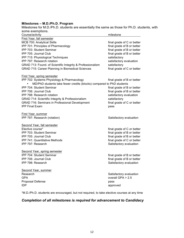#### **Milestones – M.D./Ph.D. Program**

Milestones for M.D./Ph.D. students are essentially the same as those for Ph.D. students, with some exemptions.

| Course/activity                                                      | milestone                  |
|----------------------------------------------------------------------|----------------------------|
| <b>First Year, fall semester</b>                                     |                            |
| MCB 700: Analytical Skills                                           | final grade of C or better |
| IPP 701: Principles of Pharmacology                                  | final grade of B or better |
| IPP 703: Student Seminar                                             | final grade of B or better |
| IPP 705: Journal Club                                                | final grade of B or better |
| IPP 715: Physiological Techniques                                    | satisfactory               |
| IPP 797: Research rotation                                           | satisfactory evaluation    |
| GRAD 713: Found. of Scientific Integrity & Professionalism           | satisfactory               |
| <b>GRAD 715: Career Planning in Biomedical Sciences</b>              | final grade of C or better |
| <b>First Year, spring semester</b>                                   |                            |
| IPP 702: Systems Physiology & Pharmacology                           | final grade of B or better |
| MD/PhD students take fewer credits (blocks) compared to PhD students |                            |
| IPP 704: Student Seminar                                             | final grade of B or better |
| IPP 706: Journal Club                                                | final grade of B or better |
| IPP 798: Research rotation                                           | satisfactory evaluation    |
| GRAD 714: Scientific Integrity & Professionalism                     | satisfactory               |
| GRAD 716: Seminars in Professional Development                       | final grade of C or better |
| <b>IPP Final Exam</b>                                                | pass                       |
| First Year, summer                                                   |                            |
| IPP 797: Research (rotation)                                         | Satisfactory evaluation    |
| Second Year, fall semester                                           |                            |
| Elective course*                                                     | final grade of C or better |
| IPP 703: Student Seminar                                             | final grade of B or better |
| IPP 705: Journal Club                                                | final grade of B or better |
| IPP 741: Quantitative Methods                                        | final grade of C or better |
| IPP 797: Research                                                    | Satisfactory evaluation    |
| Second Year, spring semester                                         |                            |
| IPP 704: Student Seminar                                             | final grade of B or better |
| IPP 706: Journal Club                                                | final grade of B or better |
| IPP 798: Research                                                    | Satisfactory evaluation    |
| Second Year, summer                                                  |                            |
| Research                                                             | Satisfactory evaluation    |
| GPA                                                                  | overall GPA $> 2.5$        |
| Proposal Defense                                                     | pass                       |
| IDP                                                                  | approved                   |

\*M.D./Ph.D. students are encouraged, but not required, to take elective courses at any time

#### *Completion of all milestones is required for advancement to Candidacy*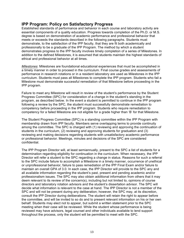#### **IPP Program: Policy on Satisfactory Progress**

Established standards of performance and behavior in each course and laboratory activity are essential components of a quality education. Progress towards completion of the Ph.D. or M.S. degree is based on demonstration of academic performance and professional behavior that meets or exceeds the standards described in the following paragraphs. Students must demonstrate, to the satisfaction of the IPP faculty, that they are fit both academically and professionally to be a graduate of the IPP Program. The method by which a student demonstrates progress to the IPP faculty involves timely completion of a series of Milestones. In addition to the defined Milestones, it is assumed that students maintain the highest standards of ethical and professional behavior at all times.

*Milestones*: Milestones are foundational educational experiences that must be accomplished in a timely manner in order to proceed in the curriculum. Final course grades and assessments of performance in research rotations or in a resident laboratory are used as Milestones in the IPP curriculum. Students must pass all Milestones to complete the IPP program. Students who fail a Milestone must demonstrate successful remediation of that Milestone before proceeding in the IPP program.

Failure to meet any Milestone will result in review of the student's performance by the Student Progress Committee (SPC) for consideration of a change in the student's standing in the program, as described below. In the event a student is permitted to continue in the IPP program following a review by the SPC, the student must successfully demonstrate remediation to competency before proceeding in the IPP program. Students who require remediation to competency for a failed Milestone are not eligible for a grade higher than 'B' for that Milestone.

The Student Progress Committee (SPC) is a standing committee within the IPP Program with membership drawn from IPP faculty. Members serve overlapping terms to provide continuity among the committee. The SPC is charged with (1) reviewing and approving the continuation of students in the curriculum, (2) reviewing and approving students for graduation and (3) reviewing and making decisions regarding students with unsatisfactory academic performance or professional behavior. Meetings, minutes and decisions of the SPC are considered confidential.

The IPP Program Director will, at least semiannually, present to the SPC a list of students for a determination regarding eligibility for continuation in the curriculum. When necessary, the IPP Director will refer a student to the SPC regarding a change in status. Reasons for such a referral to the SPC include failure to accomplish a Milestone in a timely manner, occurrence of unethical or unprofessional behavior, failure to pass remediation of the IPP Final Exam and/or failure to maintain an overall GPA of 3.0. In each case, the IPP Director will provide to the SPC any and all available information regarding the student's past, present and pending academic and/or professionalism issues. The SPC may also obtain additional information from others that it may deem relevant to its review of the concern(s), including but not limited to, opinions of course directors and laboratory rotation advisors and the student's dissertation advisor. The SPC will decide what information is relevant to the case at hand. The IPP Director is not a member of the SPC and will not be present during any deliberation; however, the SPC may, at its discretion, consult the IPP Director during deliberations. The student will retain the right to appear before the committee, and will be invited to so do and to present relevant information on his or her own behalf. Students may elect not to appear, but submit a written statement prior to the SPC meeting when their case will be reviewed. While the student whose performance is being reviewed may have advisors, legal counsel and other individuals available to lend support throughout the process, only the student will be permitted to meet with the SPC.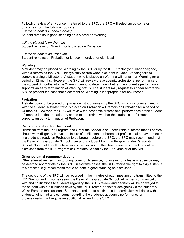Following review of any concern referred to the SPC, the SPC will select an outcome or outcomes from the following options:

*…if the student is in good standing* Student remains in good standing or is placed on Warning

*…if the student is on Warning* Student remains on Warning or is placed on Probation

*…if the student is on Probation* Student remains on Probation or is recommended for dismissal

#### **Warning**

A student may be placed on Warning by the SPC or by the IPP Director (or his/her designee) without referral to the SPC. This typically occurs when a student in Good Standing fails to complete a single Milestone. A student who is placed on Warning will remain on Warning for a period of 12 months. However, the SPC will review the academic/professional performance of the student 6 months into the Warning period to determine whether the student's performance supports an early termination of Warning status. The student may request to appear before the SPC to present the case that placement on Warning is inappropriate for any reason.

#### **Probation**

A student cannot be placed on probation without review by the SPC, which includes a meeting with the student. A student who is placed on Probation will remain on Probation for a period of 24 months. However, the SPC will review the academic/professional performance of the student 12 months into the probationary period to determine whether the student's performance supports an early termination of Probation.

#### **Recommendation for Dismissal**

Dismissal from the IPP Program and Graduate School is an undesirable outcome that all parties should work diligently to avoid. If failure of a Milestone or breech of professional behavior results in a student already on Probation to be brought before the SPC, the SPC may recommend that the Dean of the Graduate School dismiss that student from the Program and/or Graduate School. Note that the ultimate action is the decision of the Dean alone; a student cannot be dismissed from the IPP Program or Graduate School by the IPP Director or the SPC.

#### **Other potential recommendations**

Other alternatives, such as tutoring, community service, counseling or a leave of absence may be deemed appropriate by the SPC. In extreme cases, the SPC retains the right to skip a step in this process, e.g. recommend that a student in good standing be dismissed.

The decisions of the SPC will be recorded in the minutes of each meeting and transmitted to the IPP Director and, in some cases, the Dean of the Graduate School. All written communication with and notifications to students regarding the SPC's review and decision will be conveyed to the student within 2 business days by the IPP Director (or his/her designee) via the student's Wake Forest e-mail account. Students permitted to continue in the curriculum will do so with the understanding that any concerns regarding the student's academic performance or professionalism will require an additional review by the SPC.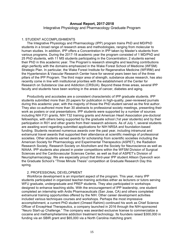#### **Annual Report, 2017-2018** Integrative Physiology and Pharmacology Graduate Program

#### 1. STUDENT ACCOMPLISHMENTS

The Integrative Physiology and Pharmacology (IPP) program trains PhD and MD/PhD students in a broad range of research areas and methodologies, ranging from molecular to human studies. In addition, IPP offers a Concentration in IPP taken by Master's students from various programs. During the 2017-18 academic year the program consisted of 1 MD/PhD and 25 PhD students, with 11 MS students participating in the Concentration; 2 students earned their PhD in this academic year. The Program's research strengths and teaching contributions align perfectly with the domains emphasized in the Wake Forest School of Medicine (WFSM) Strategic Plan. In particular, the Wake Forest Institute for Regenerative Medicine (WFIRM) and the Hypertension & Vascular Research Center have for several years been two of the three pillars of the IPP Program. The third major area of strength, substance abuse research, has also recently come in line with institutional priorities with the establishment of the Center for Research on Substance Use and Addiction (CRSUA). Beyond these three areas, several IPP faculty and students have been working in the areas of cancer, diabetes and aging.

Productivity and accolades are a consistent characteristic of IPP graduate students. IPP students submitted more than 20 papers for publication in high-quality, peer-reviewed journals during this academic year, with the majority of those the PhD student served as the first author. They also co-authored more than 30 abstracts to professional society meetings, presenting their work as posters or oral presentations. IPP students were supported by a number of sources including NIH F31 grants, NIH T32 training grants and American Heart Association pre-doctoral fellowships, with others being supported by the graduate school (1st year students) and by their participation in R01 and other grants from their research advisors. As of July 1, several students are awaiting word regarding submitted applications for NIH NRSA and foundation-based funding. Students received numerous awards over the past year, including intramural and extramural travel awards that supported their attendance at scientific meetings of professional societies. Other students earned awards for scholarship from scientific societies including the American Society for Pharmacology and Experimental Therapeutics (ASPET), the Radiation Research Society, Research Society on Alcoholism and the Society for Neuroscience as well as NIAAA. IPP students also placed in poster competitions within the WFSM Division of Surgical Sciences and the Cardiovascular Sciences Center, as well as that of ASPET's Division of Neuropharmacology. We are especially proud that third-year IPP student Allison Dyevoich won the Graduate School's "Three Minute Thesis" competition at Graduate Research Day this spring.

#### 2. PROFESSIONAL DEVELOPMENT

Workforce development is an important aspect of the program. This year, many IPP students participated in organized teacher-training activities either as lecturers or tutors serving WFU graduate, undergraduate and PREP students. They also participated in workshops designed to enhance teaching skills. With the encouragement of IPP leadership, one student completed an internship with Ardis Pharmaceuticals (San Jose, CA) and others completed extramural training opportunities offered by the NIH. Other career development activities included various techniques courses and workshops. Perhaps the most impressive accomplishment, a current PhD student (Omeed Rahimi) continued his work as Chief Science Officer of EncepHeal Therapeutics, a company launched in 2016 through the NIH-sponsored "Neuro Start-up Challenge." The company was awarded exclusive license to commercialize a cocaine and methamphetamine addiction treatment technology. Its founders raised \$300,000 in funding via an SBIR grant and \$65,000 via a North Carolina matching grant.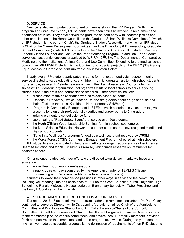#### 3. SERVICE

Service is also an important component of membership in the IPP Program. Within the program and Graduate School, IPP students have been critically involved in recruitment and orientation activities. They have served the graduate student body with leadership roles and other participation in the Honor Council and the Graduate School Wellness Committee (of which an IPP student is the current Chair), the Graduate Student Association (of which an IPP student is Chair of the Career Development Committee), and the Physiology & Pharmacology Graduate Student Committee (of which IPP students are the Chair and Co-Chair). IPP student Zachary Zabarsky is the Founder and Chair of the Peer Mentoring Program. In addition, IPP students serve local academic functions organized by WFIRM, CRUSA, The Department of Comparative Medicine and the Institutional Animal Care and Use Committee. Extending to the medical school domain, an IPP MD/PhD student is the Co-director of special projects at the DEAC ("Delivering Equal Access to Care," a student-run free clinic in Winston-Salem).

Nearly every IPP student participated in some form of extramural volunteer/community service directed towards educating local children, from kindergarteners to high school students. For example, several IPP students were active in the Brain Awareness Council, a highly successful student-run organization that organizes visits to local schools to educate young students about the brain and neuroscience research. Other activities include:

- presentation of their dissertation work to middle school students
- "Rescue to Recovery," which teaches 7th and 8th graders about drugs of abuse and their effects on the brain, Kaleideum North (formerly SciWorks)
- "Program in Community Engagement in STEM," which coordinates volunteers to give presentations on their professional expertise and career paths to 5th graders
- judging elementary school science fairs
- coordinating a "Road Safety Event" that served over 500 students
- the Hugh O'Brian Youth Leadership Seminar for high school sophomores
- the Math Science Education Network, a summer camp geared towards gifted middle and high school students
- "Tune In to Wellness" a program funded by a wellness grant received by WFSM
- the Wake Forest CTSI's Community Engagement Program directed at high schoolers

IPP students also participated in fundraising efforts for organizations such as the American Heart Association and for NC Children's Promise, which funds research on treatments for pediatric cancer.

Other science-related volunteer efforts were directed towards community wellness and education:

- Wake Health Community Ambassadors
- a public outreach day sponsored by the American chapter of TERMIS (Tissue Engineering and Regenerative Medicine International Society).

Students followed their non-science passions in other ways in service to the community, including volunteering time and assistance at St. Leo the Great Catholic Church, Reynolds High School, the Ronald McDonald House, Jefferson Elementary School, Mt. Tabor Preschool and the Forsyth Court senior living facility.

#### 4. IPP PROGRAM STRUCTURE, FUNCTION AND INITIATIVES

During the 2017-18 academic year, program leadership remained consistent. Dr. Paul Czoty continued to serve as Director, while Dr. Jasmina Varagic remained Chair of the Admissions Committee and Drs. Hossam Shaltout and Ann Tallant were co-Chairs of the Curriculum Committee. Dr. Jeff Martin remained Chair of the Student Progress Committee. New additions to the membership of the various committees, and several new IPP faculty members, provided fresh perspectives to the committees and to the program as a whole. During the year, one area in which we made considerable progress is the delineation of requirements of non-PhD students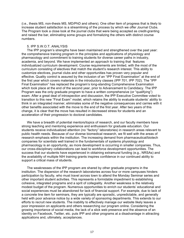(i.e., thesis MS, non-thesis MS, MD/PhD and others). One other item of progress that is likely to increase student satisfaction is a streamlining of the process by which we offer Journal Clubs. The Program took a close look at the journal clubs that were being accepted as credit-granting and raised the bar, eliminating some groups and formalizing the others with distinct course numbers.

#### 5. IPP S.W.O.T. ANALYSIS

The IPP program's strengths have been maintained and strengthened over the past year: the comprehensive training program in the principles and applications of physiology and pharmacology and commitment to training students for diverse career paths in industry, academia, and beyond. We have implemented an approach to training that features individualized curriculum development. Course requirements are limited, with the most of the curriculum consisting of electives that match the student's research interest. This ability to customize electives, journal clubs and other opportunities has proven very popular and effective. Quality control is assured by the inclusion of an "IPP Final Examination" at the end of the first year which covers materials in the introductory classes (IPP 701, IPP 702). The "IPP Final Examination" has replaced the program's long-standing Comprehensive Examination which took place at the end of the second year, prior to Advancement to Candidacy. The IPP Program was the only graduate program to have a written comprehensive (or "qualifying") exam. After a great deal of introspection and discussion, the IPP Executive Committee voted to transition to this new "Final Exam" model, which retains the ability to evaluate students' ability to think in an integrated manner, eliminates some of the negative consequences and carries with it other benefits associated with the move to the end of the first year. After two years of this change, it is clear that the move has resulted in decreased stress for students and an acceleration of their progression to doctoral candidates.

We have a breadth of potential mentors/topics of research, and our faculty members have strong teaching and mentoring experience and enthusiasm for graduate education. Our students receive individualized attention (no "factory" laboratories) in research areas relevant to public health needs. Because of our diverse biomedical research, we fit well with the areas of research emphasis within the institution. The increasing demand from pharmaceutical/biotech companies for scientists well trained in the fundamentals of systems physiology and pharmacology is an opportunity, as more development is occurring in smaller companies. Thus, our cross-disciplinary collaborations can lead to workforce development opportunities. The success that our students have experienced in obtaining extramural funding (e.g., NRSAs) and the availability of multiple NIH training grants inspires confidence in our continued ability to support a critical mass of students.

The weaknesses of the IPP program are shared by other graduate programs in the institution. The dispersion of the research laboratories across four or more campuses hinders participation by faculty, who must travel across town to attend the Monday Seminar series and other important student activities. This represents a formidable impediment to establishing cohesive, integrated programs and a sprit of collegiality. Another weakness is the relatively modest budget of the program. Numerous opportunities to enrich our students' educational and social experiences must be abandoned for lack of financial support. For example, due to lack of a concrete line item for seminars, they are typically are sporadic, unpredictable, and generally held with poor advance notice by a wide variety of sponsoring departments. This extends to our efforts to recruit new students. The inability to effectively manage our website likely leaves a poor impression on applicants and others researching our program online. Considering the growing importance of social media, the lack of a slick web presence and the absence of an identity on Facebook, Twitter, etc. puts IPP and other programs at a disadvantage in attracting applications and, ultimately, acceptances.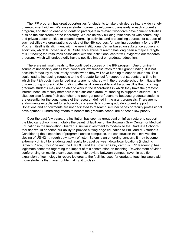The IPP program has great opportunities for students to take their degree into a wide variety of employment niches. We assess student career development plans early in each student's program, and then to enable students to participate in relevant workforce development activities outside the classroom or the laboratory. We are actively building relationships with community and private sector entities to expand internship activities and are seeking sources for support of such activities via organizations outside of the NIH sources. An exciting opportunity for the IPP Program itself is its alignment with the new institutional Center based on substance abuse and addiction, which launched in 2016. Substance abuse research has long been a major strength of IPP faculty; the resources associated with the institutional center will invigorate our research programs which will undoubtedly have a positive impact on graduate education.

There are minimal threats to the continued success of the IPP program. One prominent source of uncertainty arises from continued low success rates for NIH grant funding. It is not possible for faculty to accurately predict when they will have funding to support students. This could lead to increasing requests to the Graduate School for support of students at a time in which the F&A costs from funded grants are not shared with the graduate school to mitigate the burden during unpredictable funding patterns. A foreseeable and tragic result is that incoming graduate students may not be able to work in the laboratories in which they have the greatest interest because faculty members lack sufficient extramural funding to support a student. This situation also fosters "rich get richer and poor get poorer" scenario because graduate students are essential for the continuance of the research defined in the grant proposals. There are no endowments established for scholarships or awards to cover graduate student support. Donations and endowments are not dedicated to research seminar series or faculty professional development. Fundraising efforts to benefit the graduate school are at best a low priority.

Over the past few years, the institution has spent a great deal on infrastructure to support the Medical School, most notably the beautiful facilities of the Bowman Gray Center for Medical Education in the Innovation Quarter. A similar investment to modernize the Graduate School's facilities would enhance our ability to provide cutting-edge education to PhD and MS students. Considering the dispersion of programs across campuses, the construction that involves the closing of US-421 through downtown Winston-Salem is an emerging concern. It may become extremely difficult for students and faculty to travel between downtown locations (including Biotech Place, 5th@Vine and the PTCRC) and the Bowman Gray campus. IPP leadership has legitimate concerns regarding the impact of this construction on teaching. Development of video conferencing on multiple campuses may help obviate between-campus travel. In addition, expansion of technology to record lectures to the facilities used for graduate teaching would aid those students that have trouble making it to class.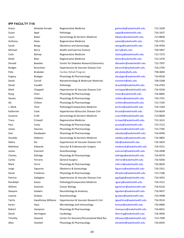#### **IPP FACULTY 7/16**

| Graca          | Almeida-Porada    | <b>Regenerative Medicine</b>            | galmeida@wakehealth.edu  | 713-1630 |
|----------------|-------------------|-----------------------------------------|--------------------------|----------|
| Susan          | Appt              | Pathology                               | sappt@wakehealth.edu     | 716-1637 |
| Laura          | Baker             | Gerontology & Geriatric Medicine        | Idbaker@wakehealth.edu   | 713-8830 |
| Anthony        | Atala             | <b>Regenerative Medicine</b>            | aatala@wakehealth.edu    | 716-5701 |
| Sarah          | Berga             | <b>Obstetrics and Gynecology</b>        | sberga@wakehealth.edu    | 716-4594 |
| Michael        | Berry             | <b>Health and Exercise Science</b>      | berry@wfu.edu            | 758-5847 |
| Colin          | Bishop            | Regenerative Medicine                   | cbishop@wakehealth.edu   | 713-7273 |
| Khalil         | Bitar             | <b>Regenerative Medicine</b>            | kbitar@wakehealth.edu    | 713-1470 |
| Donald         | Bowden            | Center for Diabetes Research/Genomics   | dbowden@wakehealth.edu   | 713-7507 |
| <b>Bridget</b> | Brosnihan         | Hypertension & Vascular Disease Cntr    | bbrosnih@wakehealth.edu  | 716-2795 |
| Pete           | <b>Brubaker</b>   | Cardiac Rehab Program                   | pbrubake@wfu.edu         | 758-4683 |
| Evgeny         | Budygin           | Physiology & Pharmacology               | ebudygin@wakehealth.edu  | 716-8530 |
| David          | Carroll           | Nanotechnology & Molecular Materials    | nanotech@wfu.edu         | 758-5508 |
| David          | Caudell           | Pathology                               | dcaudell@wakehealth.edu  | 716-4763 |
| Mark           | Chappell          | Hypertension & Vascular Disease Cntr    | mchappel@wakehealth.edu  | 716-9236 |
| Rong           | Chen              | Physiology & Pharmacology               | rchen@wakehealth.edu     | 716-8605 |
| Steven         | Childers          | Physiology & Pharmacology               | childers@wakehealth.edu  | 716-3791 |
| Ski            | Chilton           | Physiology & Pharmacology               | schilton@wakehealth.edu  | 713-7105 |
| J. Mark        | Cline             | Pathology/Comparative Medicine          | jmcline@wakehealth.edu   | 716-1564 |
| Katherine      | Cook              | Hypertension & Vascular Disease Cntr    | klcook@wakehealth.edu    | 716-6634 |
| Suzanne        | Craft             | Gerontology & Geriatric Medicine        | suzcraft@wakehealth.edu  | 713-8830 |
| <b>Tracy</b>   | Criswell          | <b>Regenerative Medicine</b>            | tcriswell@wakehealth.edu | 713-1615 |
| Paul           | Czoty             | Physiology & Pharmacology               | pczoty@wakehealth.edu    | 713-7112 |
| James          | Daunais           | Physiology & Pharmacology               | jdaunais@wakehealth.edu  | 713-7185 |
| Sam            | Deadwyler         | Physiology & Pharmacology               | sdeadwyl@wakehealth.edu  | 716-8540 |
| Osvaldo        | Delbono           | Gerontology & Geriatric Medicine        | odelbono@wakehealth.edu  | 716-9802 |
| Debra          | Diz               | Hypertension & Vascular Disease Cntr    | ddiz@wakehealth.edu      | 716-5819 |
| Matthew        | Edwards           | Vascular & Endovascular Surgery         | medwards@wakehealth.edu  | 716-4151 |
| James          | Eisenach          | Anesthesiology                          | eisenach@wakehealth.edu  | 716-4498 |
| Charles        | Eldridge          | Physiology & Pharmacology               | eldridge@wakehealth.edu  | 716-8570 |
| Carlos         | Ferrario          | <b>General Surgery</b>                  | cferrari@wakehealth.edu  | 716-9266 |
| Mark           | Ferris            | Physiology & Pharmacology               | mferris@wakehealth.edu   | 716-8620 |
| Jorge          | Figueroa          | <b>Obstetrics &amp; Gynecology</b>      | figueroa@wakehealth.edu  | 716-2351 |
| David          | Friedman          | Physiology & Pharmacology               | dfriedmn@wakehealth.edu  | 713-7186 |
| Patricia       | Gallagher         | Hypertension & Vascular Disease Cntr    | pgallagh@wakehealth.edu  | 716-4455 |
| Randolph       | Geary             | Pathology/Comparative Medicine          | rgeary@wakehealth.edu    | 716-4151 |
| William        | Gmeiner           | Cancer Biology                          | bgmeiner@wakehealth.edu  | 716-6216 |
| Dwayne         | Godwin            | Neurobiology & Anatomy                  | dgodwin@wakehealth.edu   | 716-9437 |
| Leanne         | Groban            | Anesthesiology                          | lgroban@wakehealth.edu   | 716-4498 |
| TanYa          | Gwathmey-Williams | Hypertension & Vascular Research Cntr   | tgwathme@wakehealth.edu  | 716-9524 |
| Karen          | Haas              | Microbiology and Immunology             | knhaas@wakehealth.edu    | 716-0966 |
| Robert         | Hampson           | Physiology & Pharmacology               | rhampson@wakehealth.edu  | 716-8541 |
| David          | Herrington        | Cardiology                              | dherring@wakehealth.edu  | 716-4950 |
| Timothy        | Howard            | Center for Genomic/Personalized Med Res | tdhoward@wakehealth.edu  | 713-7509 |
| Allyn          | Howlett           | Physiology & Pharmacology               | ahowlett@wakehealth.edu  | 716-8545 |
|                |                   |                                         |                          |          |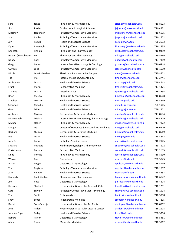| Sara               | Jones            | Physiology & Pharmacology                   | srjone@wakehealth.edu    | 716-8533 |
|--------------------|------------------|---------------------------------------------|--------------------------|----------|
| Jim                | Jordan           | <b>Cardiothoracic Surgical Sciences</b>     | jejordan@wakehealth.edu  | 716-4931 |
| Matthew            | Jorgenson        | Pathology/Comparative Medicine              | mjorgens@wakehealth.edu  | 716-6935 |
| Jay                | Kaplan           | Pathology/Comparative Medicine              | jkaplan@wakehealth.edu   | 716-1522 |
| Jeff               | Katula           | <b>Health and Exercise Science</b>          | katulaj@wfu.edu          | 758-3612 |
| Kylie              | Kavanagh         | Pathology/Comparative Medicine              | kkavanag@wakehealth.edu  | 716-1555 |
| Kenneth            | Kishida          | Physiology and Pharmacology                 | kkishida@wakehealth.edu  | 716-0419 |
| Holden (Mei-Chaun) | Кo               | Physiology and Pharmacology                 | mko@wakehealth.edu       | 713-5466 |
| Nancy              | Kock             | Pathology/Comparative Medicine              | nkock@wakehealth.edu     | 713-7389 |
| Greg               | Kucera           | Internal Med/Hematology & Oncology          | gkucera@wakehealth.edu   | 716-6348 |
| Cynthia            | Lees             | Pathology/Comparative Medicine              | clees@wakehealth.edu     | 716-1590 |
| Nicole             | Levi-Polyachenko | Plastic and Reconstructive Surgery          | nlevi@wakehealth.edu     | 713-8502 |
| Tao                | Ma               | Internal Medicine/Gerontology               | tma@wakehealth.edu       | 713-3741 |
| Anthony P.         | Marsh            | <b>Health and Exercise Science</b>          | marshap@wfu.edu          | 758-4643 |
| Frank              | Marini           | <b>Regenerative Medicine</b>                | fmarini@wakehealth.edu   | 713-1471 |
| Thomas             | Martin           | Anesthesiology                              | tjmartin@wakehealth.edu  | 716-8554 |
| <b>Brian</b>       | McCool           | Physiology & Pharmacology                   | bmccool@wakehealth.edu   | 716-8608 |
| Stephen            | Messier          | <b>Health and Exercise Science</b>          | messier@wfu.edu          | 758-5849 |
| Shannon            | Mihalko          | <b>Health and Exercise Science</b>          | mihalksl@wfu.edu         | 758-1945 |
| Gary               | Miller           | <b>Health and Exercise Science</b>          | millergd@wfu.edu         | 758-1901 |
| Anthony            | Molina           | Gerontology & Geriatric Medicine            | amolina@wakehealth.edu   | 713-8584 |
| Nilamadhab         | Mishra           | Internal Med/Rheumatology & Immunology      | nmishra@wakehealth.edu   | 716-4209 |
| Michael            | Nader            | Physiology & Pharmacology                   | mnader@wakehealth.edu    | 713-7172 |
| Maggie             | Ng               | Center of Genomics & Personalized Med. Res. | mng@wakehealth.edu       | 716-6310 |
| Barbara            | <b>Nicklas</b>   | Gerontology & Geriatric Medicine            | bnicklas@wakehealth.edu  | 713-8569 |
| Pat                | Nixon            | <b>Health and Exercise Science</b>          | nixonpa@wfu.edu          | 758-4642 |
| John S.            | Parks            | Pathology/Lipid Sciences                    | jparks@wakehealth.edu    | 716-2145 |
| Snezana            | Petrovic         | Medicine/Physiology & Pharmacology          | snpetrov@wakehealth.edu  | 713-7172 |
| Christopher        | Porada           | Regenerative Medicine                       | cporada@wakehealth.edu   | 713-1655 |
| Linda              | Porrino          | Physiology & Pharmacology                   | lporrino@wakehealth.edu  | 716-8590 |
| Wayne              | Pratt            | Psychology                                  | prattwe@wfu.edu          | 758-5745 |
| Victor             | Pulgar           | <b>Obstetrics &amp; Gynecology</b>          | vpulgar@wakehealth.edu   | 716-5149 |
| Tom                | Register         | Pathology/Comparative Medicine              | register@wakehealth.edu  | 716-1557 |
| Jack               | Rejeski          | <b>Health and Exercise Science</b>          | rejeski@wfu.edu          | 758-5837 |
| Kimberly           | Raab-Graham      | Physiology and Pharmacology                 | kraabgrah@wakehealth.edu | 716-6072 |
| Jim                | Rose             | <b>Obstetrics &amp; Gynecology</b>          | jimrose@wakehealth.edu   | 716-4614 |
| Hossam             | Shaltout         | Hypertension & Vascular Research Cntr       | hshaltou@wakehealth.edu  | 716-1251 |
| Carol              | Shively          | Pathology/Comparative Med, Psychology       | cshively@wakehealth.edu  | 716-1524 |
| Tom                | Smith            | Orthopaedics                                | tsmith@wakehealth.edu    | 716-3950 |
| Shay               | Soker            | Regenerative Medicine                       | ssoker@wakehealth.edu    | 713-7295 |
| David              | Soto-Pantoja     | Hypertension & Vascular Res Center          | dsotopan@wakehealth.edu  | 716-0792 |
| Ann                | Tallant          | Hypertension & Vascular Disease Center      | atallant@wakehealth.edu  | 716-2108 |
| Johnnie Foye       | <b>Talley</b>    | <b>Health and Exercise Science</b>          | foyej@wfu.edu            | 758-5396 |
| Robert             | Taylor           | <b>Obstetrics &amp; Gynecology</b>          | rtaylor@wakehealth.edu   | 716-5451 |
| Allen              | Tsang            | Molecular Medicine                          | atsang@wakehealth.edu    | 716-5962 |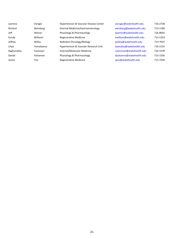| Jasmina    | Varagic    | Hypertension & Vascular Disease Center | jvaragic@wakehealth.edu | 716-2738 |
|------------|------------|----------------------------------------|-------------------------|----------|
| Richard    | Weinberg   | Internal Medicine/Gastroenterology     | weinberg@wakehealth.edu | 713-1180 |
| Jeff       | Weiner     | Physiology & Pharmacology              | jweiner@wakehealth.edu  | 716-8692 |
| Koudy      | Williams   | Regenerative Medicine                  | kwilliam@wakehealth.edu | 713-1323 |
| Jeffrey    | Willey     | Radiation Oncology/Biology             | jwilley@wakehealth.edu  | 713-7637 |
| Liliya     | Yamaleyeva | Hypertension & Vascular Research Cntr  | lyamaley@wakehealth.edu | 716-2155 |
| Raghunatha | Yammani    | Internal/Molecular Medicine            | ryammani@wakehealth.edu | 716-1578 |
| Daniel     | Yohannes   | Physiology & Pharmacology              | dyohanne@wakehealth.edu | 713-1556 |
| James      | Yoo        | Regenerative Medicine                  | jyoo@wakehealth.edu     | 713-7294 |